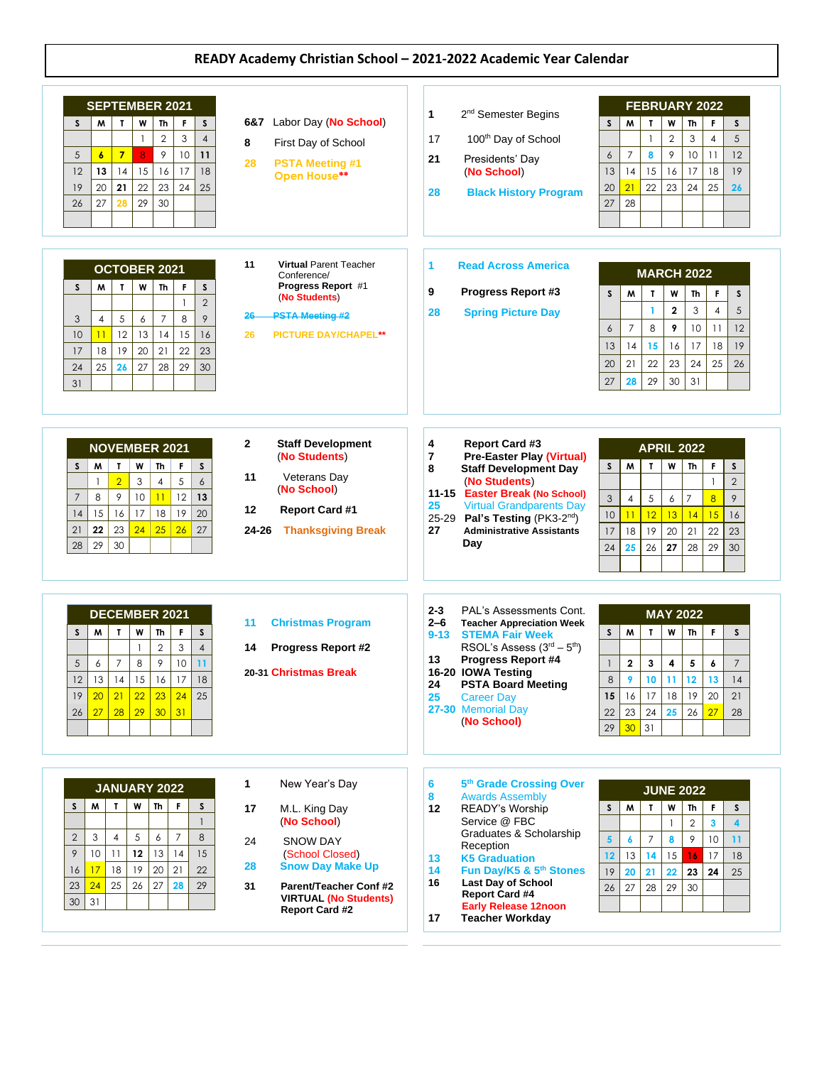## **READY Academy Christian School – 2021-2022 Academic Year Calendar**

| <b>SEPTEMBER 2021</b><br>$\mathsf{s}$<br>F<br>W<br>S<br>M<br>$\mathbf{I}$<br>Th<br>$\overline{2}$<br>3<br>$\overline{4}$<br>$\overline{7}$<br>8<br>9<br>10<br>5<br>$\boldsymbol{6}$<br>11<br>16<br>12<br>13<br>14<br>15<br>17<br>18<br>20<br>21<br>22<br>23<br>24<br>25<br>19<br>27<br>29<br>30<br>26<br>28<br>OCTOBER 2021<br>W<br>Th<br>F<br>s<br>S<br>M<br>$\mathbf{I}$<br>$\overline{2}$<br>$\mathbf{1}$<br>9<br>8<br>5<br>$\overline{7}$<br>3<br>$\overline{4}$<br>6<br>11<br>12<br>13<br>15<br>10<br>14<br>16<br>23<br>18<br>19<br>20<br>21<br>22<br>17 | Labor Day (No School)<br>6&7<br>8<br>First Day of School<br>28<br><b>PSTA Meeting #1</b><br>Open House**<br><b>Virtual Parent Teacher</b><br>11<br>Conference/<br>Progress Report #1<br>(No Students)<br><b>PSTA Meeting #2</b><br>$26 -$<br>26<br><b>PICTURE DAY/CHAPEL**</b> | 1<br>2 <sup>nd</sup> Semester Begins<br>100 <sup>th</sup> Day of School<br>17<br>21<br>Presidents' Day<br>(No School)<br><b>Black History Program</b><br>28<br>1<br><b>Read Across America</b><br>9<br>Progress Report #3<br><b>Spring Picture Day</b><br>28                                                                                   | <b>FEBRUARY 2022</b><br>s<br>W<br>F<br>S<br>W<br>T<br>Th<br>$\overline{2}$<br>3<br>$\overline{4}$<br>5<br>$\mathbf{1}$<br>$\overline{7}$<br>9<br>10<br>$\boldsymbol{6}$<br>8<br>11<br>12<br>15<br>16<br>17<br>13<br>14<br>18<br>19<br>22<br>23<br>20<br>21<br>24<br>25<br>26<br>28<br>27<br><b>MARCH 2022</b><br>M<br>W<br>Th<br>F<br>S<br>S<br>T<br>5<br>$\mathbf 2$<br>3<br>$\overline{4}$<br>1<br>$\overline{7}$<br>8<br>9<br>10<br>12<br>11<br>6<br>19<br>15<br>16<br>17<br>13<br>14<br>18 |
|---------------------------------------------------------------------------------------------------------------------------------------------------------------------------------------------------------------------------------------------------------------------------------------------------------------------------------------------------------------------------------------------------------------------------------------------------------------------------------------------------------------------------------------------------------------|--------------------------------------------------------------------------------------------------------------------------------------------------------------------------------------------------------------------------------------------------------------------------------|------------------------------------------------------------------------------------------------------------------------------------------------------------------------------------------------------------------------------------------------------------------------------------------------------------------------------------------------|------------------------------------------------------------------------------------------------------------------------------------------------------------------------------------------------------------------------------------------------------------------------------------------------------------------------------------------------------------------------------------------------------------------------------------------------------------------------------------------------|
| 25<br>26<br>27<br>29<br>30<br>24<br>28<br>31<br><b>NOVEMBER 2021</b><br>W<br>Th<br>F<br>S<br>M<br>$\mathbf{r}$<br>S<br>$\overline{2}$<br>3<br>5<br>$\overline{4}$<br>6<br>$\mathbf{1}$<br>9<br>11<br>$\overline{7}$<br>8<br>10<br>12<br>13<br>16<br>17<br>18<br>14<br>15<br>19<br>20<br>23<br>24<br>25<br>26<br>21<br>22<br>27<br>30<br>28<br>29                                                                                                                                                                                                              | 2<br><b>Staff Development</b><br>(No Students)<br>11<br>Veterans Day<br>(No School)<br>12<br><b>Report Card #1</b><br>24-26<br><b>Thanksgiving Break</b>                                                                                                                       | 4<br><b>Report Card #3</b><br>$\overline{7}$<br><b>Pre-Easter Play (Virtual)</b><br>8<br><b>Staff Development Day</b><br>(No Students)<br>11-15 Easter Break (No School)<br>25<br><b>Virtual Grandparents Day</b><br>25-29 Pal's Testing (PK3-2 <sup>nd</sup> )<br>27<br><b>Administrative Assistants</b><br>Day                               | 22<br>24<br>25<br>20<br>21<br>23<br>26<br>27<br>29<br>30<br>31<br>28<br><b>APRIL 2022</b><br>M<br>W<br>F<br>S<br>$\mathbf{r}$<br>S<br>Th<br>$\mathbf{1}$<br>$\overline{2}$<br>$\mathfrak{Z}$<br>$\overline{8}$<br>9<br>5<br>4<br>$\overline{7}$<br>6<br>10<br>12<br>15<br>13<br>16<br>14<br>11<br>22<br>19<br>23<br>17<br>18<br>20<br>21<br>28<br>29<br>24<br>25<br>26<br>27<br>30                                                                                                             |
| <b>DECEMBER 2021</b><br>F<br>M<br>$\mathbf T$<br>W<br>Th<br>S<br>S<br>3<br>$\overline{4}$<br>$\mathbf{1}$<br>$\mathbf{2}$<br>$\overline{7}$<br>8<br>9<br>10<br>5<br>6<br>11<br>12<br>13<br>14<br>15<br>16<br>17<br>18<br>$22 \mid 23 \mid$<br>$24$ 25<br>19<br>20 <sub>2</sub><br>21<br>28<br>$29 \mid 30 \mid 31$<br>26<br>27                                                                                                                                                                                                                                | 11<br><b>Christmas Program</b><br><b>Progress Report #2</b><br>14<br>20-31 Christmas Break                                                                                                                                                                                     | $2 - 3$<br>PAL's Assessments Cont.<br>$2 - 6$<br><b>Teacher Appreciation Week</b><br><b>STEMA Fair Week</b><br>$9 - 13$<br>RSOL's Assess $(3rd – 5th)$<br><b>Progress Report #4</b><br>13<br>16-20 IOWA Testing<br><b>PSTA Board Meeting</b><br>24<br>25<br><b>Career Day</b><br>27-30 Memorial Day<br>(No School)                             | <b>MAY 2022</b><br>M<br>$\mathbf{T}$<br>W<br>F.<br>$\mathsf{s}$<br>Th<br>S<br>$\overline{2}$<br>3<br>5<br>$\overline{7}$<br>4<br>6<br>8<br>9<br>10<br>11<br>12<br>13<br>14<br>17<br>18<br>19<br>20<br>21<br>15 <sub>1</sub><br>16<br>25<br>$23 \mid 24$<br>26<br>27<br>22<br>28<br>30 31<br>29                                                                                                                                                                                                 |
| <b>JANUARY 2022</b><br>M<br>$\mathbf{I}$<br>W<br>Th<br>S<br>F.<br>S.<br>$\mathbf{1}$<br>$\overline{7}$<br>$\overline{2}$<br>3<br>5<br>8<br>4<br>6<br>9<br>10 <sup>°</sup><br>12<br>14<br>11<br>13<br>15<br>20<br>18<br>19<br>21<br>22<br>16<br>17<br>27<br>23<br>24<br>25<br>26<br>28<br>29<br>30<br>31                                                                                                                                                                                                                                                       | $\mathbf{1}$<br>New Year's Day<br>17<br>M.L. King Day<br>(No School)<br>24<br><b>SNOW DAY</b><br>(School Closed)<br>28<br><b>Snow Day Make Up</b><br>31<br>Parent/Teacher Conf #2<br><b>VIRTUAL (No Students)</b><br><b>Report Card #2</b>                                     | 6<br>5th Grade Crossing Over<br>8<br><b>Awards Assembly</b><br><b>READY's Worship</b><br>12<br>Service @ FBC<br>Graduates & Scholarship<br>Reception<br>13<br><b>K5 Graduation</b><br>Fun Day/K5 & 5th Stones<br>14<br><b>Last Day of School</b><br>16<br><b>Report Card #4</b><br><b>Early Release 12noon</b><br>17<br><b>Teacher Workday</b> | <b>JUNE 2022</b><br>S<br>W<br>S<br>M<br>T<br>Th<br>F.<br>$\overline{2}$<br>3<br>$\blacktriangle$<br>1<br>$\overline{5}$<br>$\overline{7}$<br>9<br>10<br>8<br>11<br>6<br>12<br>13<br>15<br>17<br>14<br>16<br>18<br>19<br>22<br>20<br>21<br>23<br>24<br>25<br>26<br>29<br>27<br>28<br>30                                                                                                                                                                                                         |